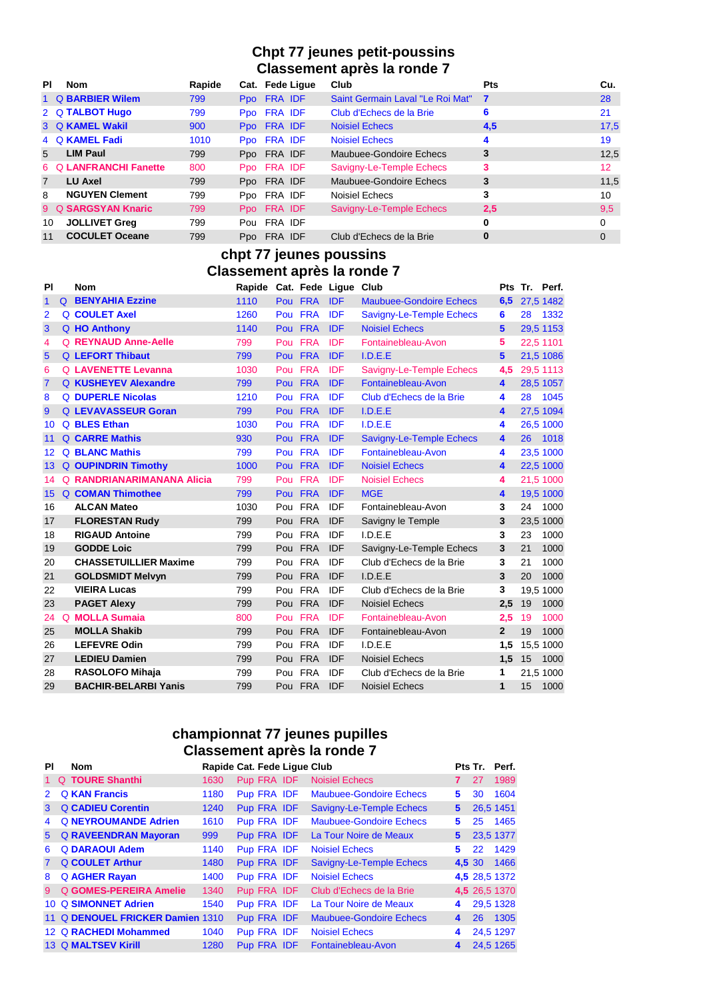## **Chpt 77 jeunes petit-poussins Classement après la ronde 7**

| <b>PI</b>      | Nom                    | Rapide | Cat. Fede Ligue | Club                             | <b>Pts</b> | Cu.             |
|----------------|------------------------|--------|-----------------|----------------------------------|------------|-----------------|
|                | 1 Q BARBIER Wilem      | 799    | Ppo FRA IDF     | Saint Germain Laval "Le Roi Mat" | 7          | 28              |
|                | 2 Q TALBOT Hugo        | 799    | Ppo FRA IDF     | Club d'Echecs de la Brie         | 6          | 21              |
|                | 3 Q KAMEL Wakil        | 900    | Ppo FRA IDF     | <b>Noisiel Echecs</b>            | 4,5        | 17,5            |
|                | 4 Q KAMEL Fadi         | 1010   | Ppo FRA IDF     | <b>Noisiel Echecs</b>            | 4          | 19              |
| $5^{\circ}$    | <b>LIM Paul</b>        | 799    | Ppo FRA IDF     | Maubuee-Gondoire Echecs          | 3          | 12,5            |
|                | 6 O LANFRANCHI Fanette | 800    | Ppo FRA IDF     | Savigny-Le-Temple Echecs         | 3          | 12 <sup>2</sup> |
| $\overline{7}$ | <b>LU Axel</b>         | 799    | Ppo FRA IDF     | Maubuee-Gondoire Echecs          | 3          | 11,5            |
| 8              | <b>NGUYEN Clement</b>  | 799    | Ppo FRA IDF     | Noisiel Echecs                   | 3          | 10              |
|                | 9 Q SARGSYAN Knaric    | 799    | Ppo FRA IDF     | Savigny-Le-Temple Echecs         | 2.5        | 9,5             |
| 10             | <b>JOLLIVET Greg</b>   | 799    | Pou FRA IDF     |                                  | 0          | 0               |
| 11             | <b>COCULET Oceane</b>  | 799    | Ppo FRA IDF     | Club d'Echecs de la Brie         | $\bf{0}$   | $\Omega$        |

## **chpt 77 jeunes poussins Classement après la ronde 7**

| PI             | <b>Nom</b>                   | Rapide Cat. Fede Ligue Club |             |            |                                |                      |    | Pts Tr. Perf. |
|----------------|------------------------------|-----------------------------|-------------|------------|--------------------------------|----------------------|----|---------------|
| $\mathbf 1$    | <b>Q</b> BENYAHIA Ezzine     | 1110                        | Pou FRA IDF |            | <b>Maubuee-Gondoire Echecs</b> |                      |    | 6,5 27,5 1482 |
| $\overline{2}$ | <b>Q COULET Axel</b>         | 1260                        | Pou FRA     | <b>IDF</b> | Savigny-Le-Temple Echecs       | 6                    | 28 | 1332          |
| 3              | Q HO Anthony                 | 1140                        | Pou FRA IDF |            | <b>Noisiel Echecs</b>          | 5                    |    | 29,5 1153     |
| 4              | <b>Q REYNAUD Anne-Aelle</b>  | 799                         | Pou FRA     | <b>IDF</b> | Fontainebleau-Avon             | 5                    |    | 22,5 1101     |
| 5              | <b>Q</b> LEFORT Thibaut      | 799                         | Pou FRA     | <b>IDF</b> | I.D.E.E                        | $5\phantom{1}$       |    | 21,5 1086     |
| 6              | <b>Q LAVENETTE Levanna</b>   | 1030                        | Pou FRA     | IDF        | Savigny-Le-Temple Echecs       | 4.5                  |    | 29,5 1113     |
| $\overline{7}$ | <b>Q KUSHEYEV Alexandre</b>  | 799                         | Pou FRA     | <b>IDF</b> | Fontainebleau-Avon             | $\blacktriangleleft$ |    | 28,5 1057     |
| 8              | <b>Q DUPERLE Nicolas</b>     | 1210                        | Pou FRA     | <b>IDF</b> | Club d'Echecs de la Brie       | 4                    | 28 | 1045          |
| 9              | <b>Q LEVAVASSEUR Goran</b>   | 799                         | Pou FRA     | <b>IDF</b> | I.D.E.E.                       | $\blacktriangle$     |    | 27,5 1094     |
| 10             | Q BLES Ethan                 | 1030                        | Pou FRA     | <b>IDF</b> | I.D.E.E                        | 4                    |    | 26,5 1000     |
| 11             | <b>Q CARRE Mathis</b>        | 930                         | Pou FRA     | <b>IDF</b> | Savigny-Le-Temple Echecs       | $\blacktriangleleft$ | 26 | 1018          |
| 12             | <b>Q BLANC Mathis</b>        | 799                         | Pou FRA     | <b>IDF</b> | Fontainebleau-Avon             | 4                    |    | 23,5 1000     |
| 13             | <b>Q OUPINDRIN Timothy</b>   | 1000                        | Pou FRA     | <b>IDF</b> | <b>Noisiel Echecs</b>          | $\blacktriangleleft$ |    | 22,5 1000     |
| 14             | Q RANDRIANARIMANANA Alicia   | 799                         | Pou FRA     | IDF        | <b>Noisiel Echecs</b>          | 4                    |    | 21,5 1000     |
| 15             | <b>Q COMAN Thimothee</b>     | 799                         | Pou FRA     | <b>IDF</b> | <b>MGE</b>                     | 4                    |    | 19,5 1000     |
| 16             | <b>ALCAN Mateo</b>           | 1030                        | Pou FRA IDF |            | Fontainebleau-Avon             | 3                    | 24 | 1000          |
| 17             | <b>FLORESTAN Rudy</b>        | 799                         | Pou FRA     | <b>IDF</b> | Savigny le Temple              | 3                    |    | 23,5 1000     |
| 18             | <b>RIGAUD Antoine</b>        | 799                         | Pou FRA     | IDF        | I.D.E.E                        | 3                    | 23 | 1000          |
| 19             | <b>GODDE Loic</b>            | 799                         | Pou FRA     | <b>IDF</b> | Savigny-Le-Temple Echecs       | 3                    | 21 | 1000          |
| 20             | <b>CHASSETUILLIER Maxime</b> | 799                         | Pou FRA IDF |            | Club d'Echecs de la Brie       | 3                    | 21 | 1000          |
| 21             | <b>GOLDSMIDT Melvyn</b>      | 799                         | Pou FRA     | <b>IDF</b> | I.D.E.E                        | 3                    | 20 | 1000          |
| 22             | <b>VIEIRA Lucas</b>          | 799                         | Pou FRA     | IDF        | Club d'Echecs de la Brie       | 3                    |    | 19,5 1000     |
| 23             | <b>PAGET Alexy</b>           | 799                         | Pou FRA IDF |            | <b>Noisiel Echecs</b>          | 2,5                  | 19 | 1000          |
| 24             | <b>Q</b> MOLLA Sumaia        | 800                         | Pou FRA IDF |            | Fontainebleau-Avon             | 2,5                  | 19 | 1000          |
| 25             | <b>MOLLA Shakib</b>          | 799                         | Pou FRA     | <b>IDF</b> | Fontainebleau-Avon             | $\overline{2}$       | 19 | 1000          |
| 26             | <b>LEFEVRE Odin</b>          | 799                         | Pou FRA     | IDF        | I.D.E.E                        | 1,5                  |    | 15,5 1000     |
| 27             | <b>LEDIEU Damien</b>         | 799                         | Pou FRA IDF |            | <b>Noisiel Echecs</b>          | 1,5                  | 15 | 1000          |
| 28             | <b>RASOLOFO Mihaja</b>       | 799                         | Pou FRA     | IDF        | Club d'Echecs de la Brie       | 1                    |    | 21.5 1000     |
| 29             | <b>BACHIR-BELARBI Yanis</b>  | 799                         | Pou FRA     | <b>IDF</b> | <b>Noisiel Echecs</b>          | 1                    | 15 | 1000          |

# **championnat 77 jeunes pupilles Classement après la ronde 7**

| ΡI            | Nom                              | Rapide Cat. Fede Lique Club |             |                                |             |    | Pts Tr. Perf. |
|---------------|----------------------------------|-----------------------------|-------------|--------------------------------|-------------|----|---------------|
| 1.            | Q TOURE Shanthi                  | 1630                        | Pup FRA IDF | <b>Noisiel Echecs</b>          |             | 27 | 1989          |
| $\mathcal{P}$ | <b>Q KAN Francis</b>             | 1180                        | Pup FRA IDF | <b>Maubuee-Gondoire Echecs</b> | 5.          | 30 | 1604          |
| 3             | <b>Q CADIEU Corentin</b>         | 1240                        | Pup FRA IDF | Savigny-Le-Temple Echecs       | 5           |    | 26,5 1451     |
| 4             | <b>Q NEYROUMANDE Adrien</b>      | 1610                        | Pup FRA IDF | <b>Maubuee-Gondoire Echecs</b> | 5           | 25 | 1465          |
| $5^{\circ}$   | <b>Q RAVEENDRAN Mayoran</b>      | 999                         | Pup FRA IDF | La Tour Noire de Meaux         | $5^{\circ}$ |    | 23,5 1377     |
| 6             | <b>Q DARAOUI Adem</b>            | 1140                        | Pup FRA IDF | <b>Noisiel Echecs</b>          | 5.          | 22 | 1429          |
|               | <b>Q COULET Arthur</b>           | 1480                        | Pup FRA IDF | Savigny-Le-Temple Echecs       | 4.5 30      |    | 1466          |
| 8             | <b>Q AGHER Rayan</b>             | 1400                        | Pup FRA IDF | <b>Noisiel Echecs</b>          |             |    | 4,5 28,5 1372 |
| 9             | <b>Q GOMES-PEREIRA Amelie</b>    | 1340                        | Pup FRA IDF | Club d'Echecs de la Brie       |             |    | 4,5 26,5 1370 |
|               | 10 Q SIMONNET Adrien             | 1540                        | Pup FRA IDF | La Tour Noire de Meaux         | 4           |    | 29,5 1328     |
|               | 11 Q DENOUEL FRICKER Damien 1310 |                             | Pup FRA IDF | <b>Maubuee-Gondoire Echecs</b> | 4           | 26 | 1305          |
|               | 12 Q RACHEDI Mohammed            | 1040                        | Pup FRA IDF | <b>Noisiel Echecs</b>          | 4           |    | 24,5 1297     |
|               | 13 Q MALTSEV Kirill              | 1280                        | Pup FRA IDF | Fontainebleau-Avon             | 4           |    | 24,5 1265     |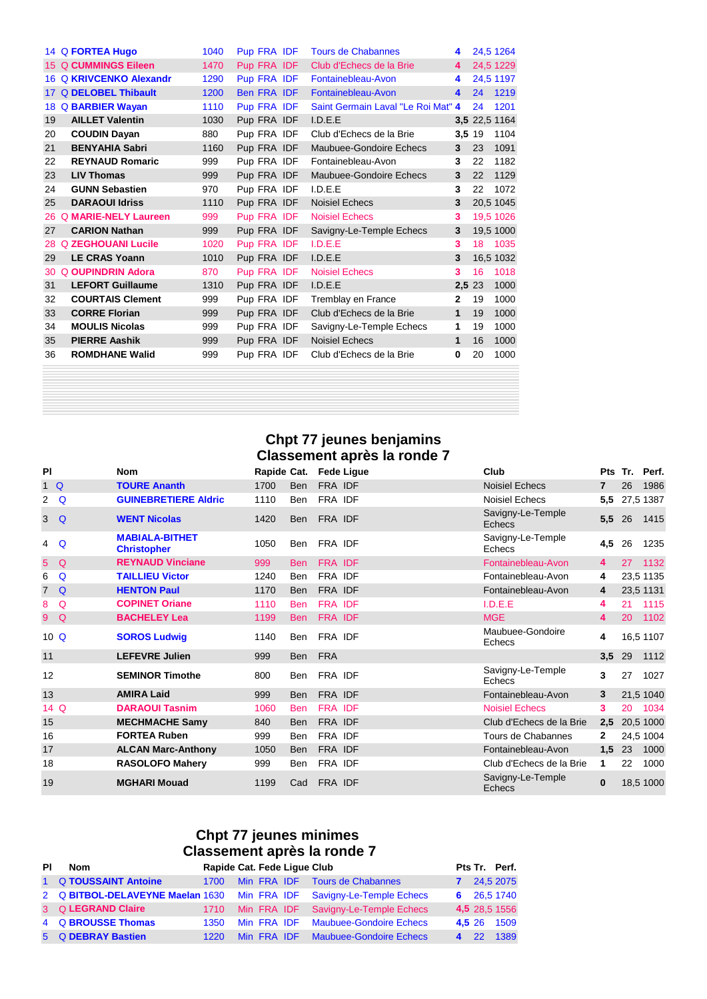|    | 14 Q FORTEA Hugo            | 1040 | Pup FRA IDF |  | <b>Tours de Chabannes</b>          | 4            |               | 24,5 1264 |
|----|-----------------------------|------|-------------|--|------------------------------------|--------------|---------------|-----------|
|    | 15 Q CUMMINGS Eileen        | 1470 | Pup FRA IDF |  | Club d'Echecs de la Brie           | 4            |               | 24,5 1229 |
|    | 16 Q KRIVCENKO Alexandr     | 1290 | Pup FRA IDF |  | Fontainebleau-Avon                 | 4            |               | 24,5 1197 |
|    | 17 Q DELOBEL Thibault       | 1200 | Ben FRA IDF |  | Fontainebleau-Avon                 | 4            | 24            | 1219      |
| 18 | <b>Q BARBIER Wayan</b>      | 1110 | Pup FRA IDF |  | Saint Germain Laval "Le Roi Mat" 4 |              | 24            | 1201      |
| 19 | <b>AILLET Valentin</b>      | 1030 | Pup FRA IDF |  | I.D.E.E                            |              | 3,5 22,5 1164 |           |
| 20 | <b>COUDIN Dayan</b>         | 880  | Pup FRA IDF |  | Club d'Echecs de la Brie           | 3,5 19       |               | 1104      |
| 21 | <b>BENYAHIA Sabri</b>       | 1160 | Pup FRA IDF |  | Maubuee-Gondoire Echecs            | 3            | 23            | 1091      |
| 22 | <b>REYNAUD Romaric</b>      | 999  | Pup FRA IDF |  | Fontainebleau-Avon                 | 3            | 22            | 1182      |
| 23 | <b>LIV Thomas</b>           | 999  | Pup FRA IDF |  | Maubuee-Gondoire Echecs            | 3            | 22            | 1129      |
| 24 | <b>GUNN Sebastien</b>       | 970  | Pup FRA IDF |  | I.D.E.E                            | 3            | 22            | 1072      |
| 25 | <b>DARAOUI Idriss</b>       | 1110 | Pup FRA IDF |  | Noisiel Echecs                     | 3            |               | 20,5 1045 |
| 26 | <b>Q MARIE-NELY Laureen</b> | 999  | Pup FRA IDF |  | <b>Noisiel Echecs</b>              | 3            |               | 19,5 1026 |
| 27 | <b>CARION Nathan</b>        | 999  | Pup FRA IDF |  | Savigny-Le-Temple Echecs           | 3            |               | 19,5 1000 |
| 28 | <b>Q ZEGHOUANI Lucile</b>   | 1020 | Pup FRA IDF |  | I.D.E.E                            | 3            | 18            | 1035      |
| 29 | <b>LE CRAS Yoann</b>        | 1010 | Pup FRA IDF |  | I.D.E.E                            | 3            |               | 16,5 1032 |
| 30 | <b>Q OUPINDRIN Adora</b>    | 870  | Pup FRA IDF |  | <b>Noisiel Echecs</b>              | 3            | 16            | 1018      |
| 31 | <b>LEFORT Guillaume</b>     | 1310 | Pup FRA IDF |  | I.D.E.E                            | 2,5 23       |               | 1000      |
| 32 | <b>COURTAIS Clement</b>     | 999  | Pup FRA IDF |  | Tremblay en France                 | $\mathbf{2}$ | 19            | 1000      |
| 33 | <b>CORRE Florian</b>        | 999  | Pup FRA IDF |  | Club d'Echecs de la Brie           | 1            | 19            | 1000      |
| 34 | <b>MOULIS Nicolas</b>       | 999  | Pup FRA IDF |  | Savigny-Le-Temple Echecs           | 1            | 19            | 1000      |
| 35 | <b>PIERRE Aashik</b>        | 999  | Pup FRA IDF |  | <b>Noisiel Echecs</b>              | $\mathbf{1}$ | 16            | 1000      |
| 36 | <b>ROMDHANE Walid</b>       | 999  | Pup FRA IDF |  | Club d'Echecs de la Brie           | 0            | 20            | 1000      |
|    |                             |      |             |  |                                    |              |               |           |

#### **Chpt 77 jeunes benjamins Classement après la ronde 7**

| <b>PI</b>            |             | <b>Nom</b>                                  | Rapide Cat. |            |            | <b>Fede Ligue</b> | Club                               | <b>Pts</b>     | Tr. | Perf.     |
|----------------------|-------------|---------------------------------------------|-------------|------------|------------|-------------------|------------------------------------|----------------|-----|-----------|
|                      | 1Q          | <b>TOURE Ananth</b>                         | 1700        | <b>Ben</b> | FRA IDF    |                   | <b>Noisiel Echecs</b>              | $\overline{7}$ | 26  | 1986      |
| $\mathbf{2}^{\circ}$ | Q           | <b>GUINEBRETIERE Aldric</b>                 | 1110        | Ben        | FRA IDF    |                   | Noisiel Echecs                     | 5,5            |     | 27,5 1387 |
| 3                    | $\Omega$    | <b>WENT Nicolas</b>                         | 1420        | <b>Ben</b> | FRA IDF    |                   | Savigny-Le-Temple<br>Echecs        | 5,5            | 26  | 1415      |
| 4                    | $\mathbf Q$ | <b>MABIALA-BITHET</b><br><b>Christopher</b> | 1050        | <b>Ben</b> | FRA IDF    |                   | Savigny-Le-Temple<br>Echecs        | 4,5            | 26  | 1235      |
| 5                    | $\Omega$    | <b>REYNAUD Vinciane</b>                     | 999         | <b>Ben</b> | FRA IDF    |                   | Fontainebleau-Avon                 | 4              | 27  | 1132      |
| 6                    | $\Omega$    | <b>TAILLIEU Victor</b>                      | 1240        | <b>Ben</b> | FRA IDF    |                   | Fontainebleau-Avon                 | 4              |     | 23,5 1135 |
| $7^{\circ}$          | $\Omega$    | <b>HENTON Paul</b>                          | 1170        | <b>Ben</b> | FRA IDF    |                   | Fontainebleau-Avon                 | 4              |     | 23,5 1131 |
| 8                    | Q           | <b>COPINET Oriane</b>                       | 1110        | <b>Ben</b> | FRA IDF    |                   | I.D.E.E                            | 4              | 21  | 1115      |
| 9                    | Q           | <b>BACHELEY Lea</b>                         | 1199        | <b>Ben</b> | FRA IDF    |                   | <b>MGE</b>                         | 4              | 20  | 1102      |
|                      | 10Q         | <b>SOROS Ludwig</b>                         | 1140        | Ben        | FRA IDF    |                   | Maubuee-Gondoire<br>Echecs         | 4              |     | 16,5 1107 |
| 11                   |             | <b>LEFEVRE Julien</b>                       | 999         | <b>Ben</b> | <b>FRA</b> |                   |                                    | 3,5            | 29  | 1112      |
| 12                   |             | <b>SEMINOR Timothe</b>                      | 800         | <b>Ben</b> | FRA IDF    |                   | Savigny-Le-Temple<br>Echecs        | 3              | 27  | 1027      |
| 13                   |             | <b>AMIRA Laid</b>                           | 999         | <b>Ben</b> | FRA IDF    |                   | Fontainebleau-Avon                 | $\mathbf{3}$   |     | 21,5 1040 |
|                      | 14 Q        | <b>DARAOUI Tasnim</b>                       | 1060        | <b>Ben</b> | FRA IDF    |                   | <b>Noisiel Echecs</b>              | 3.             | 20  | 1034      |
| 15                   |             | <b>MECHMACHE Samy</b>                       | 840         | <b>Ben</b> | FRA IDF    |                   | Club d'Echecs de la Brie           | 2,5            |     | 20,5 1000 |
| 16                   |             | <b>FORTEA Ruben</b>                         | 999         | Ben        | FRA IDF    |                   | Tours de Chabannes                 | $\mathbf{2}$   |     | 24,5 1004 |
| 17                   |             | <b>ALCAN Marc-Anthony</b>                   | 1050        | <b>Ben</b> | FRA IDF    |                   | Fontainebleau-Avon                 | 1,5            | 23  | 1000      |
| 18                   |             | <b>RASOLOFO Mahery</b>                      | 999         | Ben        | FRA IDF    |                   | Club d'Echecs de la Brie           | 1              | 22  | 1000      |
| 19                   |             | <b>MGHARI Mouad</b>                         | 1199        | Cad        | FRA IDF    |                   | Savigny-Le-Temple<br><b>Echecs</b> | 0              |     | 18,5 1000 |

# **Chpt 77 jeunes minimes Classement après la ronde 7**

| PI | <b>Nom</b>                                                            | Rapide Cat. Fede Lique Club |             |                                     |           | Pts Tr. Perf. |
|----|-----------------------------------------------------------------------|-----------------------------|-------------|-------------------------------------|-----------|---------------|
|    | 1 Q TOUSSAINT Antoine                                                 |                             |             | 1700 Min FRA IDF Tours de Chabannes |           | 7 24,5 2075   |
|    | 2 Q BITBOL-DELAVEYNE Maelan 1630 Min FRA IDF Savigny-Le-Temple Echecs |                             |             |                                     |           | 6 26,5 1740   |
|    | 3 Q LEGRAND Claire                                                    | 1710                        | Min FRA IDF | Savigny-Le-Temple Echecs            |           | 4,5 28,5 1556 |
|    | 4 Q BROUSSE Thomas                                                    | 1350                        |             | Min FRA IDF Maubuee-Gondoire Echecs |           | 4.5 26 1509   |
|    | 5 Q DEBRAY Bastien                                                    | 1220                        |             | Min FRA IDF Maubuee-Gondoire Echecs | $4 \t 22$ | 1389          |